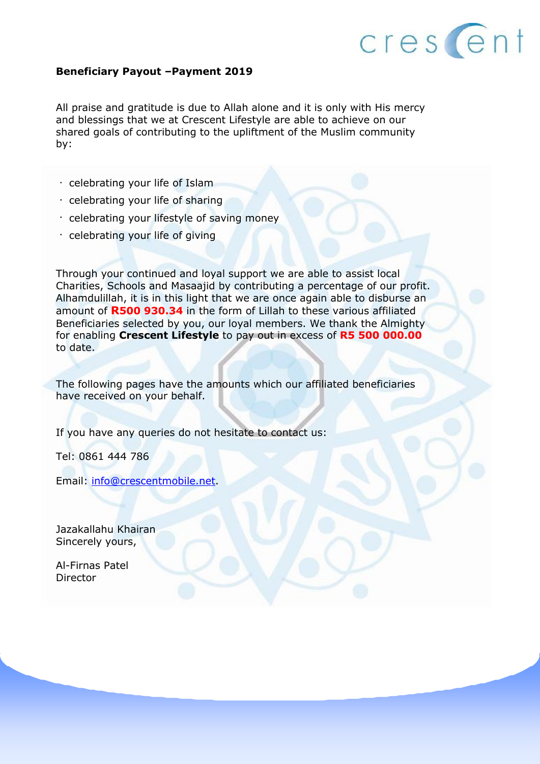

#### **Beneficiary Payout –Payment 2019**

All praise and gratitude is due to Allah alone and it is only with His mercy and blessings that we at Crescent Lifestyle are able to achieve on our shared goals of contributing to the upliftment of the Muslim community by:

- $\cdot$  celebrating your life of Islam
- $\cdot$  celebrating your life of sharing
- celebrating your lifestyle of saving money
- celebrating your life of giving

Through your continued and loyal support we are able to assist local Charities, Schools and Masaajid by contributing a percentage of our profit. Alhamdulillah, it is in this light that we are once again able to disburse an amount of **R500 930.34** in the form of Lillah to these various affiliated Beneficiaries selected by you, our loyal members. We thank the Almighty for enabling **Crescent Lifestyle** to pay out in excess of **R5 500 000.00**  to date.

The following pages have the amounts which our affiliated beneficiaries have received on your behalf.

If you have any queries do not hesitate to contact us:

Tel: 0861 444 786

Email: [info@crescentmobile.net.](mailto:info@crescentmobile.net)

Jazakallahu Khairan Sincerely yours,

Al-Firnas Patel Director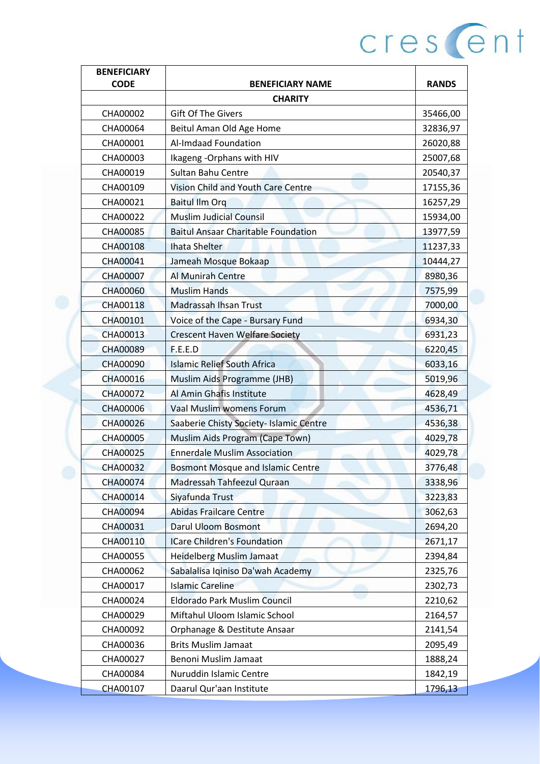| <b>BENEFICIARY</b> |                                            |              |
|--------------------|--------------------------------------------|--------------|
| <b>CODE</b>        | <b>BENEFICIARY NAME</b>                    | <b>RANDS</b> |
|                    | <b>CHARITY</b>                             |              |
| CHA00002           | <b>Gift Of The Givers</b>                  | 35466,00     |
| CHA00064           | Beitul Aman Old Age Home                   | 32836,97     |
| CHA00001           | Al-Imdaad Foundation                       | 26020,88     |
| CHA00003           | Ikageng - Orphans with HIV                 | 25007,68     |
| CHA00019           | Sultan Bahu Centre                         | 20540,37     |
| CHA00109           | Vision Child and Youth Care Centre         | 17155,36     |
| CHA00021           | <b>Baitul Ilm Org</b>                      | 16257,29     |
| CHA00022           | <b>Muslim Judicial Counsil</b>             | 15934,00     |
| CHA00085           | <b>Baitul Ansaar Charitable Foundation</b> | 13977,59     |
| CHA00108           | <b>Ihata Shelter</b>                       | 11237,33     |
| CHA00041           | Jameah Mosque Bokaap                       | 10444,27     |
| <b>CHA00007</b>    | Al Munirah Centre                          | 8980,36      |
| <b>CHA00060</b>    | <b>Muslim Hands</b>                        | 7575,99      |
| CHA00118           | <b>Madrassah Ihsan Trust</b>               | 7000,00      |
| CHA00101           | Voice of the Cape - Bursary Fund           | 6934,30      |
| CHA00013           | <b>Crescent Haven Welfare Society</b>      | 6931,23      |
| <b>CHA00089</b>    | F.E.E.D                                    | 6220,45      |
| <b>CHA00090</b>    | <b>Islamic Relief South Africa</b>         | 6033,16      |
| CHA00016           | Muslim Aids Programme (JHB)                | 5019,96      |
| CHA00072           | Al Amin Ghafis Institute                   | 4628,49      |
| <b>CHA00006</b>    | Vaal Muslim womens Forum                   | 4536,71      |
| CHA00026           | Saaberie Chisty Society- Islamic Centre    | 4536,38      |
| CHA00005           | Muslim Aids Program (Cape Town)            | 4029,78      |
| CHA00025           | <b>Ennerdale Muslim Association</b>        | 4029,78      |
| CHA00032           | <b>Bosmont Mosque and Islamic Centre</b>   | 3776,48      |
| <b>CHA00074</b>    | Madressah Tahfeezul Quraan                 | 3338,96      |
| CHA00014           | Siyafunda Trust                            | 3223,83      |
| CHA00094           | <b>Abidas Frailcare Centre</b>             | 3062,63      |
| CHA00031           | <b>Darul Uloom Bosmont</b>                 | 2694,20      |
| CHA00110           | <b>ICare Children's Foundation</b>         | 2671,17      |
| CHA00055           | <b>Heidelberg Muslim Jamaat</b>            | 2394,84      |
| CHA00062           | Sabalalisa Iqiniso Da'wah Academy          | 2325,76      |
| CHA00017           | <b>Islamic Careline</b>                    | 2302,73      |
| CHA00024           | Eldorado Park Muslim Council               | 2210,62      |
| CHA00029           | Miftahul Uloom Islamic School              | 2164,57      |
| CHA00092           | Orphanage & Destitute Ansaar               | 2141,54      |
| CHA00036           | <b>Brits Muslim Jamaat</b>                 | 2095,49      |
| CHA00027           | Benoni Muslim Jamaat                       | 1888,24      |
| CHA00084           | Nuruddin Islamic Centre                    | 1842,19      |
| CHA00107           | Daarul Qur'aan Institute                   | 1796,13      |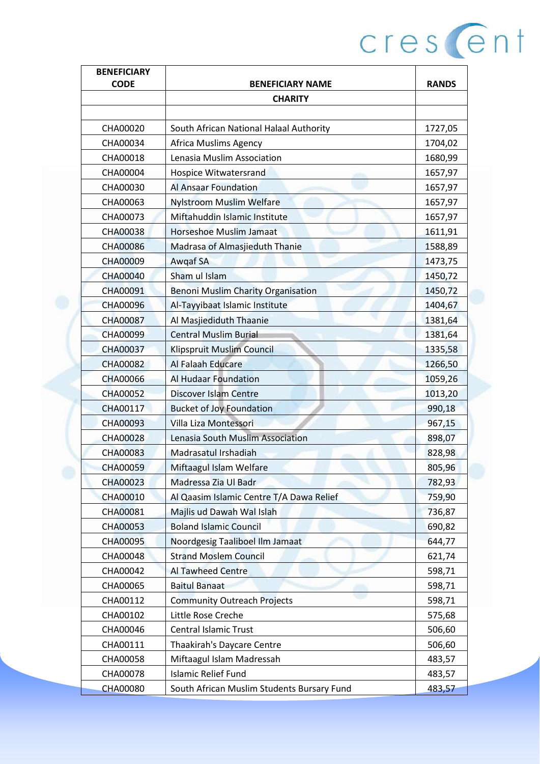|                                    | <b>RANDS</b>                                                                                                                                                                                                                                                                                                                                                                                                                                                                                                                                                                                                                                                                                                                                                                                                                                  |
|------------------------------------|-----------------------------------------------------------------------------------------------------------------------------------------------------------------------------------------------------------------------------------------------------------------------------------------------------------------------------------------------------------------------------------------------------------------------------------------------------------------------------------------------------------------------------------------------------------------------------------------------------------------------------------------------------------------------------------------------------------------------------------------------------------------------------------------------------------------------------------------------|
|                                    |                                                                                                                                                                                                                                                                                                                                                                                                                                                                                                                                                                                                                                                                                                                                                                                                                                               |
|                                    |                                                                                                                                                                                                                                                                                                                                                                                                                                                                                                                                                                                                                                                                                                                                                                                                                                               |
|                                    | 1727,05                                                                                                                                                                                                                                                                                                                                                                                                                                                                                                                                                                                                                                                                                                                                                                                                                                       |
|                                    | 1704,02                                                                                                                                                                                                                                                                                                                                                                                                                                                                                                                                                                                                                                                                                                                                                                                                                                       |
|                                    | 1680,99                                                                                                                                                                                                                                                                                                                                                                                                                                                                                                                                                                                                                                                                                                                                                                                                                                       |
|                                    | 1657,97                                                                                                                                                                                                                                                                                                                                                                                                                                                                                                                                                                                                                                                                                                                                                                                                                                       |
|                                    | 1657,97                                                                                                                                                                                                                                                                                                                                                                                                                                                                                                                                                                                                                                                                                                                                                                                                                                       |
| <b>Nylstroom Muslim Welfare</b>    | 1657,97                                                                                                                                                                                                                                                                                                                                                                                                                                                                                                                                                                                                                                                                                                                                                                                                                                       |
|                                    | 1657,97                                                                                                                                                                                                                                                                                                                                                                                                                                                                                                                                                                                                                                                                                                                                                                                                                                       |
| Horseshoe Muslim Jamaat            | 1611,91                                                                                                                                                                                                                                                                                                                                                                                                                                                                                                                                                                                                                                                                                                                                                                                                                                       |
| Madrasa of Almasjieduth Thanie     | 1588,89                                                                                                                                                                                                                                                                                                                                                                                                                                                                                                                                                                                                                                                                                                                                                                                                                                       |
| Awgaf SA                           | 1473,75                                                                                                                                                                                                                                                                                                                                                                                                                                                                                                                                                                                                                                                                                                                                                                                                                                       |
| Sham ul Islam                      | 1450,72                                                                                                                                                                                                                                                                                                                                                                                                                                                                                                                                                                                                                                                                                                                                                                                                                                       |
| Benoni Muslim Charity Organisation | 1450,72                                                                                                                                                                                                                                                                                                                                                                                                                                                                                                                                                                                                                                                                                                                                                                                                                                       |
| Al-Tayyibaat Islamic Institute     | 1404,67                                                                                                                                                                                                                                                                                                                                                                                                                                                                                                                                                                                                                                                                                                                                                                                                                                       |
| Al Masjiediduth Thaanie            | 1381,64                                                                                                                                                                                                                                                                                                                                                                                                                                                                                                                                                                                                                                                                                                                                                                                                                                       |
| <b>Central Muslim Burial</b>       | 1381,64                                                                                                                                                                                                                                                                                                                                                                                                                                                                                                                                                                                                                                                                                                                                                                                                                                       |
| Klipspruit Muslim Council          | 1335,58                                                                                                                                                                                                                                                                                                                                                                                                                                                                                                                                                                                                                                                                                                                                                                                                                                       |
| Al Falaah Educare                  | 1266,50                                                                                                                                                                                                                                                                                                                                                                                                                                                                                                                                                                                                                                                                                                                                                                                                                                       |
| <b>Al Hudaar Foundation</b>        | 1059,26                                                                                                                                                                                                                                                                                                                                                                                                                                                                                                                                                                                                                                                                                                                                                                                                                                       |
| <b>Discover Islam Centre</b>       | 1013,20                                                                                                                                                                                                                                                                                                                                                                                                                                                                                                                                                                                                                                                                                                                                                                                                                                       |
|                                    | 990,18                                                                                                                                                                                                                                                                                                                                                                                                                                                                                                                                                                                                                                                                                                                                                                                                                                        |
|                                    | 967,15                                                                                                                                                                                                                                                                                                                                                                                                                                                                                                                                                                                                                                                                                                                                                                                                                                        |
|                                    | 898,07                                                                                                                                                                                                                                                                                                                                                                                                                                                                                                                                                                                                                                                                                                                                                                                                                                        |
| Madrasatul Irshadiah               | 828,98                                                                                                                                                                                                                                                                                                                                                                                                                                                                                                                                                                                                                                                                                                                                                                                                                                        |
|                                    | 805,96                                                                                                                                                                                                                                                                                                                                                                                                                                                                                                                                                                                                                                                                                                                                                                                                                                        |
|                                    | 782,93                                                                                                                                                                                                                                                                                                                                                                                                                                                                                                                                                                                                                                                                                                                                                                                                                                        |
|                                    | 759,90                                                                                                                                                                                                                                                                                                                                                                                                                                                                                                                                                                                                                                                                                                                                                                                                                                        |
|                                    | 736,87                                                                                                                                                                                                                                                                                                                                                                                                                                                                                                                                                                                                                                                                                                                                                                                                                                        |
|                                    | 690,82                                                                                                                                                                                                                                                                                                                                                                                                                                                                                                                                                                                                                                                                                                                                                                                                                                        |
|                                    | 644,77                                                                                                                                                                                                                                                                                                                                                                                                                                                                                                                                                                                                                                                                                                                                                                                                                                        |
|                                    | 621,74                                                                                                                                                                                                                                                                                                                                                                                                                                                                                                                                                                                                                                                                                                                                                                                                                                        |
|                                    | 598,71                                                                                                                                                                                                                                                                                                                                                                                                                                                                                                                                                                                                                                                                                                                                                                                                                                        |
|                                    | 598,71                                                                                                                                                                                                                                                                                                                                                                                                                                                                                                                                                                                                                                                                                                                                                                                                                                        |
|                                    | 598,71                                                                                                                                                                                                                                                                                                                                                                                                                                                                                                                                                                                                                                                                                                                                                                                                                                        |
|                                    | 575,68                                                                                                                                                                                                                                                                                                                                                                                                                                                                                                                                                                                                                                                                                                                                                                                                                                        |
|                                    | 506,60                                                                                                                                                                                                                                                                                                                                                                                                                                                                                                                                                                                                                                                                                                                                                                                                                                        |
|                                    |                                                                                                                                                                                                                                                                                                                                                                                                                                                                                                                                                                                                                                                                                                                                                                                                                                               |
|                                    | 506,60                                                                                                                                                                                                                                                                                                                                                                                                                                                                                                                                                                                                                                                                                                                                                                                                                                        |
|                                    | 483,57                                                                                                                                                                                                                                                                                                                                                                                                                                                                                                                                                                                                                                                                                                                                                                                                                                        |
|                                    | 483,57<br>483,57                                                                                                                                                                                                                                                                                                                                                                                                                                                                                                                                                                                                                                                                                                                                                                                                                              |
|                                    | <b>BENEFICIARY NAME</b><br><b>CHARITY</b><br>South African National Halaal Authority<br>Africa Muslims Agency<br>Lenasia Muslim Association<br>Hospice Witwatersrand<br>Al Ansaar Foundation<br>Miftahuddin Islamic Institute<br><b>Bucket of Joy Foundation</b><br>Villa Liza Montessori<br>Lenasia South Muslim Association<br>Miftaagul Islam Welfare<br>Madressa Zia Ul Badr<br>Al Qaasim Islamic Centre T/A Dawa Relief<br>Majlis ud Dawah Wal Islah<br><b>Boland Islamic Council</b><br>Noordgesig Taaliboel Ilm Jamaat<br><b>Strand Moslem Council</b><br>Al Tawheed Centre<br><b>Baitul Banaat</b><br><b>Community Outreach Projects</b><br>Little Rose Creche<br><b>Central Islamic Trust</b><br>Thaakirah's Daycare Centre<br>Miftaagul Islam Madressah<br><b>Islamic Relief Fund</b><br>South African Muslim Students Bursary Fund |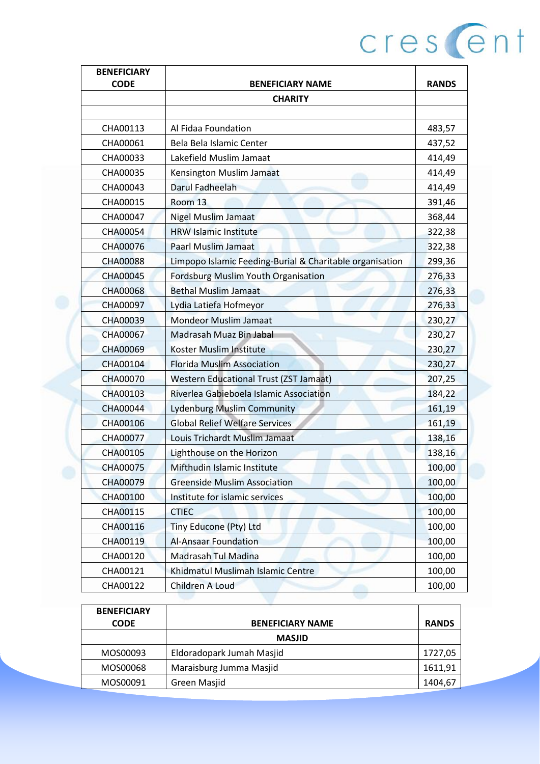| <b>BENEFICIARY</b> |                                                          |              |
|--------------------|----------------------------------------------------------|--------------|
| <b>CODE</b>        | <b>BENEFICIARY NAME</b>                                  | <b>RANDS</b> |
|                    | <b>CHARITY</b>                                           |              |
| CHA00113           | Al Fidaa Foundation                                      | 483,57       |
| CHA00061           | Bela Bela Islamic Center                                 | 437,52       |
| CHA00033           | Lakefield Muslim Jamaat                                  | 414,49       |
| CHA00035           | Kensington Muslim Jamaat                                 | 414,49       |
| CHA00043           | Darul Fadheelah                                          | 414,49       |
| CHA00015           | Room <sub>13</sub>                                       | 391,46       |
| CHA00047           | <b>Nigel Muslim Jamaat</b>                               | 368,44       |
| CHA00054           | <b>HRW Islamic Institute</b>                             | 322,38       |
| CHA00076           | <b>Paarl Muslim Jamaat</b>                               | 322,38       |
| <b>CHA00088</b>    | Limpopo Islamic Feeding-Burial & Charitable organisation | 299,36       |
| <b>CHA00045</b>    | <b>Fordsburg Muslim Youth Organisation</b>               | 276,33       |
| <b>CHA00068</b>    | <b>Bethal Muslim Jamaat</b>                              | 276,33       |
| CHA00097           | Lydia Latiefa Hofmeyor                                   | 276,33       |
| <b>CHA00039</b>    | <b>Mondeor Muslim Jamaat</b>                             | 230,27       |
| <b>CHA00067</b>    | Madrasah Muaz Bin Jabal                                  | 230,27       |
| <b>CHA00069</b>    | Koster Muslim Institute                                  | 230,27       |
| CHA00104           | <b>Florida Muslim Association</b>                        | 230,27       |
| <b>CHA00070</b>    | <b>Western Educational Trust (ZST Jamaat)</b>            | 207,25       |
| CHA00103           | Riverlea Gabieboela Islamic Association                  | 184,22       |
| <b>CHA00044</b>    | <b>Lydenburg Muslim Community</b>                        | 161,19       |
| CHA00106           | <b>Global Relief Welfare Services</b>                    | 161,19       |
| CHA00077           | Louis Trichardt Muslim Jamaat                            | 138,16       |
| CHA00105           | Lighthouse on the Horizon                                | 138,16       |
| <b>CHA00075</b>    | Mifthudin Islamic Institute                              | 100,00       |
| <b>CHA00079</b>    | <b>Greenside Muslim Association</b>                      | 100,00       |
| CHA00100           | Institute for islamic services                           | 100,00       |
| CHA00115           | <b>CTIEC</b>                                             | 100,00       |
| CHA00116           | Tiny Educone (Pty) Ltd                                   | 100,00       |
| CHA00119           | <b>Al-Ansaar Foundation</b>                              | 100,00       |
| CHA00120           | <b>Madrasah Tul Madina</b>                               | 100,00       |
| CHA00121           | Khidmatul Muslimah Islamic Centre                        | 100,00       |
| CHA00122           | Children A Loud                                          | 100,00       |

| <b>BENEFICIARY</b> |                           |              |
|--------------------|---------------------------|--------------|
| <b>CODE</b>        | <b>BENEFICIARY NAME</b>   | <b>RANDS</b> |
|                    | <b>MASJID</b>             |              |
| MOS00093           | Eldoradopark Jumah Masjid | 1727,05      |
| MOS00068           | Maraisburg Jumma Masjid   | 1611,91      |
| MOS00091           | Green Masjid              | 1404,67      |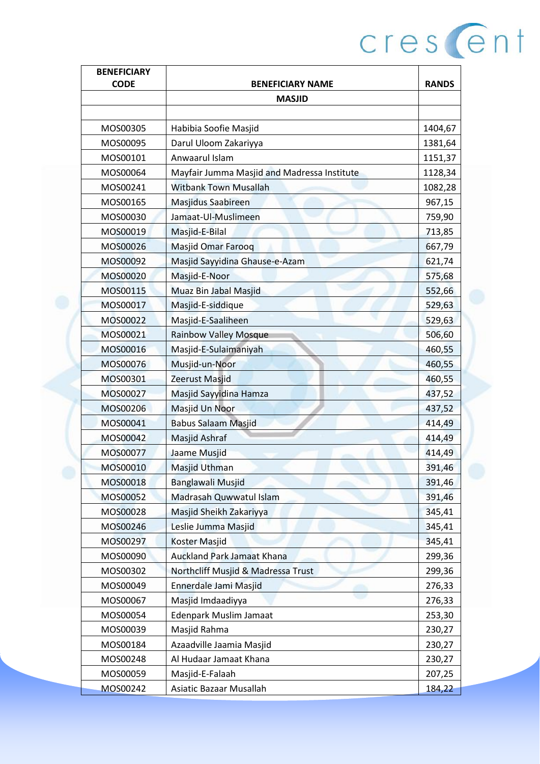| <b>BENEFICIARY</b> |                                             |              |
|--------------------|---------------------------------------------|--------------|
| <b>CODE</b>        | <b>BENEFICIARY NAME</b>                     | <b>RANDS</b> |
|                    | <b>MASJID</b>                               |              |
| MOS00305           | Habibia Soofie Masjid                       | 1404,67      |
| MOS00095           |                                             |              |
|                    | Darul Uloom Zakariyya                       | 1381,64      |
| MOS00101           | Anwaarul Islam                              | 1151,37      |
| MOS00064           | Mayfair Jumma Masjid and Madressa Institute | 1128,34      |
| MOS00241           | <b>Witbank Town Musallah</b>                | 1082,28      |
| MOS00165           | <b>Masjidus Saabireen</b>                   | 967,15       |
| MOS00030           | Jamaat-Ul-Muslimeen                         | 759,90       |
| MOS00019           | Masjid-E-Bilal                              | 713,85       |
| MOS00026           | <b>Masjid Omar Farooq</b>                   | 667,79       |
| MOS00092           | Masjid Sayyidina Ghause-e-Azam              | 621,74       |
| MOS00020           | Masjid-E-Noor                               | 575,68       |
| MOS00115           | Muaz Bin Jabal Masjid                       | 552,66       |
| MOS00017           | Masjid-E-siddique                           | 529,63       |
| MOS00022           | Masjid-E-Saaliheen                          | 529,63       |
| MOS00021           | <b>Rainbow Valley Mosque</b>                | 506,60       |
| MOS00016           | Masjid-E-Sulaimaniyah                       | 460,55       |
| MOS00076           | Musjid-un-Noor                              | 460,55       |
| MOS00301           | Zeerust Masjid                              | 460,55       |
| MOS00027           | Masjid Sayyidina Hamza                      | 437,52       |
| MOS00206           | Masjid Un Noor                              | 437,52       |
| MOS00041           | <b>Babus Salaam Masjid</b>                  | 414,49       |
| MOS00042           | Masjid Ashraf                               | 414,49       |
| MOS00077           | Jaame Musjid                                | 414,49       |
| MOS00010           | Masjid Uthman                               | 391,46       |
| MOS00018           | <b>Banglawali Musjid</b>                    | 391,46       |
| MOS00052           | Madrasah Quwwatul Islam                     | 391,46       |
| MOS00028           | Masjid Sheikh Zakariyya                     | 345,41       |
| MOS00246           | Leslie Jumma Masjid                         | 345,41       |
| MOS00297           | <b>Koster Masjid</b>                        | 345,41       |
| MOS00090           | <b>Auckland Park Jamaat Khana</b>           | 299,36       |
| MOS00302           | Northcliff Musjid & Madressa Trust          | 299,36       |
| MOS00049           | Ennerdale Jami Masjid                       | 276,33       |
| MOS00067           | Masjid Imdaadiyya                           | 276,33       |
| MOS00054           | <b>Edenpark Muslim Jamaat</b>               | 253,30       |
| MOS00039           | Masjid Rahma                                | 230,27       |
| MOS00184           | Azaadville Jaamia Masjid                    | 230,27       |
| MOS00248           | Al Hudaar Jamaat Khana                      | 230,27       |
| MOS00059           | Masjid-E-Falaah                             | 207,25       |
| MOS00242           | Asiatic Bazaar Musallah                     | 184,22       |